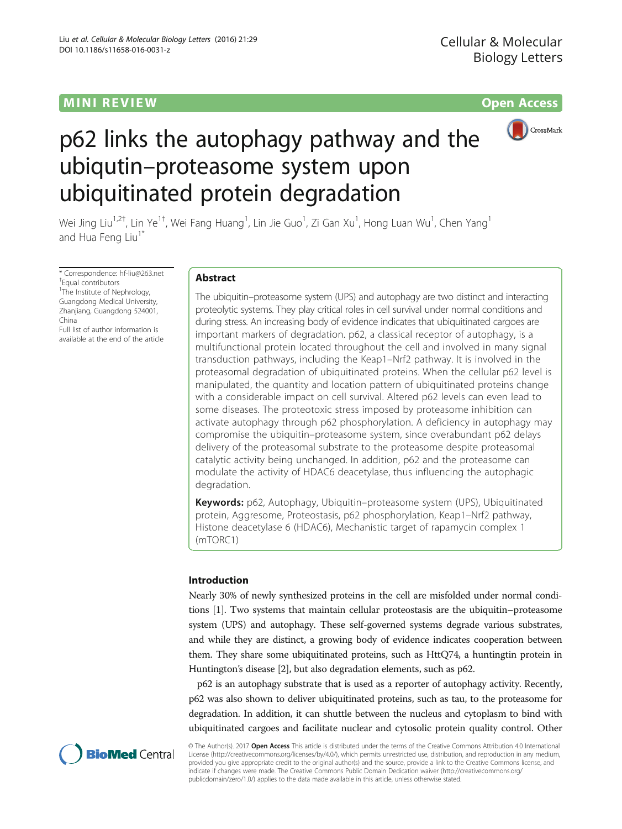# MINI R EVI EW Open Access



# p62 links the autophagy pathway and the ubiqutin–proteasome system upon ubiquitinated protein degradation

Wei Jing Liu<sup>1,2†</sup>, Lin Ye<sup>1†</sup>, Wei Fang Huang<sup>1</sup>, Lin Jie Guo<sup>1</sup>, Zi Gan Xu<sup>1</sup>, Hong Luan Wu<sup>1</sup>, Chen Yang<sup>1</sup> and Hua Feng Liu<sup>1\*</sup>

\* Correspondence: [hf-liu@263.net](mailto:hf-liu@263.net) † Equal contributors <sup>1</sup>The Institute of Nephrology, Guangdong Medical University, Zhanjiang, Guangdong 524001, China Full list of author information is

available at the end of the article

# Abstract

The ubiquitin–proteasome system (UPS) and autophagy are two distinct and interacting proteolytic systems. They play critical roles in cell survival under normal conditions and during stress. An increasing body of evidence indicates that ubiquitinated cargoes are important markers of degradation. p62, a classical receptor of autophagy, is a multifunctional protein located throughout the cell and involved in many signal transduction pathways, including the Keap1–Nrf2 pathway. It is involved in the proteasomal degradation of ubiquitinated proteins. When the cellular p62 level is manipulated, the quantity and location pattern of ubiquitinated proteins change with a considerable impact on cell survival. Altered p62 levels can even lead to some diseases. The proteotoxic stress imposed by proteasome inhibition can activate autophagy through p62 phosphorylation. A deficiency in autophagy may compromise the ubiquitin–proteasome system, since overabundant p62 delays delivery of the proteasomal substrate to the proteasome despite proteasomal catalytic activity being unchanged. In addition, p62 and the proteasome can modulate the activity of HDAC6 deacetylase, thus influencing the autophagic degradation.

Keywords: p62, Autophagy, Ubiquitin–proteasome system (UPS), Ubiquitinated protein, Aggresome, Proteostasis, p62 phosphorylation, Keap1–Nrf2 pathway, Histone deacetylase 6 (HDAC6), Mechanistic target of rapamycin complex 1 (mTORC1)

# Introduction

Nearly 30% of newly synthesized proteins in the cell are misfolded under normal conditions [[1\]](#page-10-0). Two systems that maintain cellular proteostasis are the ubiquitin–proteasome system (UPS) and autophagy. These self-governed systems degrade various substrates, and while they are distinct, a growing body of evidence indicates cooperation between them. They share some ubiquitinated proteins, such as HttQ74, a huntingtin protein in Huntington's disease [\[2\]](#page-10-0), but also degradation elements, such as p62.

p62 is an autophagy substrate that is used as a reporter of autophagy activity. Recently, p62 was also shown to deliver ubiquitinated proteins, such as tau, to the proteasome for degradation. In addition, it can shuttle between the nucleus and cytoplasm to bind with ubiquitinated cargoes and facilitate nuclear and cytosolic protein quality control. Other



© The Author(s). 2017 Open Access This article is distributed under the terms of the Creative Commons Attribution 4.0 International License ([http://creativecommons.org/licenses/by/4.0/\)](http://creativecommons.org/licenses/by/4.0/), which permits unrestricted use, distribution, and reproduction in any medium, provided you give appropriate credit to the original author(s) and the source, provide a link to the Creative Commons license, and indicate if changes were made. The Creative Commons Public Domain Dedication waiver ([http://creativecommons.org/](http://creativecommons.org/publicdomain/zero/1.0/) [publicdomain/zero/1.0/\)](http://creativecommons.org/publicdomain/zero/1.0/) applies to the data made available in this article, unless otherwise stated.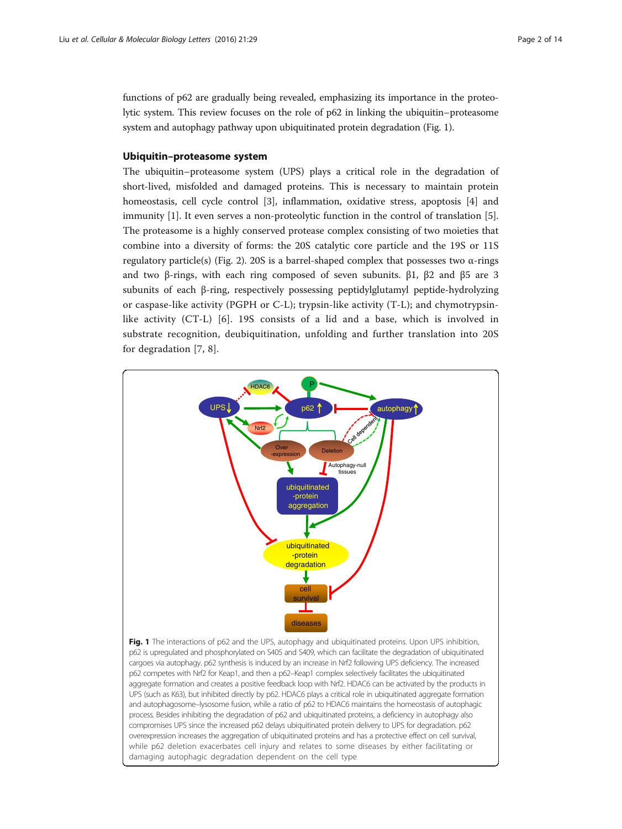functions of p62 are gradually being revealed, emphasizing its importance in the proteolytic system. This review focuses on the role of p62 in linking the ubiquitin–proteasome system and autophagy pathway upon ubiquitinated protein degradation (Fig. 1).

# Ubiquitin–proteasome system

The ubiquitin–proteasome system (UPS) plays a critical role in the degradation of short-lived, misfolded and damaged proteins. This is necessary to maintain protein homeostasis, cell cycle control [[3](#page-10-0)], inflammation, oxidative stress, apoptosis [[4\]](#page-10-0) and immunity [[1](#page-10-0)]. It even serves a non-proteolytic function in the control of translation [\[5](#page-10-0)]. The proteasome is a highly conserved protease complex consisting of two moieties that combine into a diversity of forms: the 20S catalytic core particle and the 19S or 11S regulatory particle(s) (Fig. [2](#page-2-0)). 20S is a barrel-shaped complex that possesses two α-rings and two β-rings, with each ring composed of seven subunits. β1, β2 and β5 are 3 subunits of each β-ring, respectively possessing peptidylglutamyl peptide-hydrolyzing or caspase-like activity (PGPH or C-L); trypsin-like activity (T-L); and chymotrypsinlike activity (CT-L) [[6](#page-10-0)]. 19S consists of a lid and a base, which is involved in substrate recognition, deubiquitination, unfolding and further translation into 20S for degradation [[7, 8](#page-10-0)].

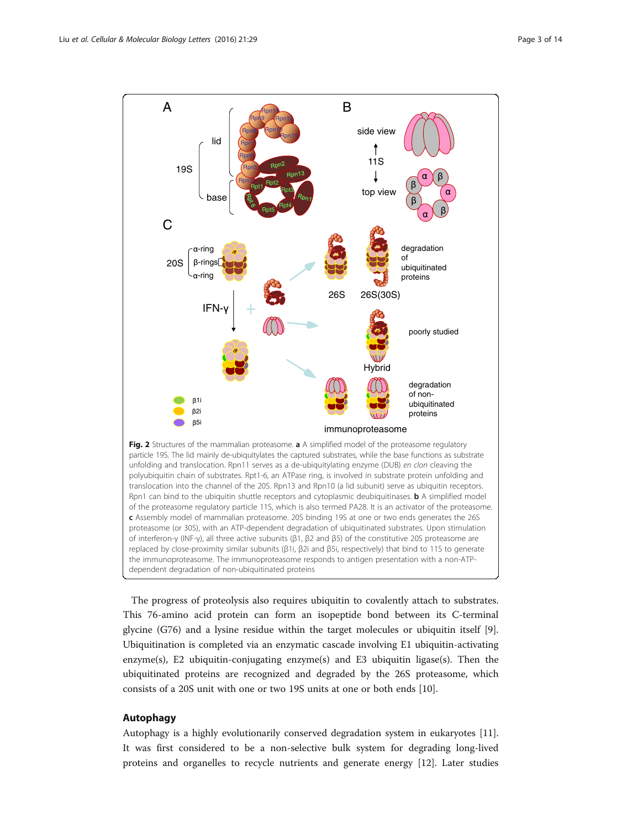<span id="page-2-0"></span>

The progress of proteolysis also requires ubiquitin to covalently attach to substrates. This 76-amino acid protein can form an isopeptide bond between its C-terminal glycine (G76) and a lysine residue within the target molecules or ubiquitin itself [\[9](#page-10-0)]. Ubiquitination is completed via an enzymatic cascade involving E1 ubiquitin-activating enzyme(s), E2 ubiquitin-conjugating enzyme(s) and E3 ubiquitin ligase(s). Then the ubiquitinated proteins are recognized and degraded by the 26S proteasome, which consists of a 20S unit with one or two 19S units at one or both ends [\[10](#page-10-0)].

## Autophagy

Autophagy is a highly evolutionarily conserved degradation system in eukaryotes [[11](#page-10-0)]. It was first considered to be a non-selective bulk system for degrading long-lived proteins and organelles to recycle nutrients and generate energy [\[12](#page-10-0)]. Later studies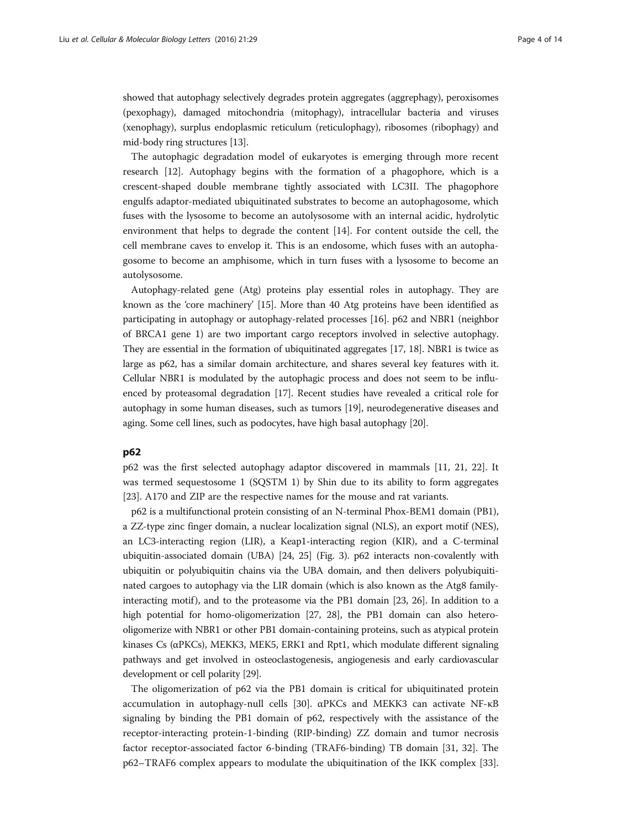showed that autophagy selectively degrades protein aggregates (aggrephagy), peroxisomes (pexophagy), damaged mitochondria (mitophagy), intracellular bacteria and viruses (xenophagy), surplus endoplasmic reticulum (reticulophagy), ribosomes (ribophagy) and mid-body ring structures [\[13\]](#page-10-0).

The autophagic degradation model of eukaryotes is emerging through more recent research [\[12](#page-10-0)]. Autophagy begins with the formation of a phagophore, which is a crescent-shaped double membrane tightly associated with LC3II. The phagophore engulfs adaptor-mediated ubiquitinated substrates to become an autophagosome, which fuses with the lysosome to become an autolysosome with an internal acidic, hydrolytic environment that helps to degrade the content [\[14](#page-10-0)]. For content outside the cell, the cell membrane caves to envelop it. This is an endosome, which fuses with an autophagosome to become an amphisome, which in turn fuses with a lysosome to become an autolysosome.

Autophagy-related gene (Atg) proteins play essential roles in autophagy. They are known as the 'core machinery' [[15](#page-10-0)]. More than 40 Atg proteins have been identified as participating in autophagy or autophagy-related processes [[16](#page-10-0)]. p62 and NBR1 (neighbor of BRCA1 gene 1) are two important cargo receptors involved in selective autophagy. They are essential in the formation of ubiquitinated aggregates [[17](#page-10-0), [18](#page-10-0)]. NBR1 is twice as large as p62, has a similar domain architecture, and shares several key features with it. Cellular NBR1 is modulated by the autophagic process and does not seem to be influenced by proteasomal degradation [\[17\]](#page-10-0). Recent studies have revealed a critical role for autophagy in some human diseases, such as tumors [\[19\]](#page-10-0), neurodegenerative diseases and aging. Some cell lines, such as podocytes, have high basal autophagy [\[20\]](#page-10-0).

#### p62

p62 was the first selected autophagy adaptor discovered in mammals [\[11](#page-10-0), [21](#page-10-0), [22\]](#page-10-0). It was termed sequestosome 1 (SQSTM 1) by Shin due to its ability to form aggregates [[23\]](#page-10-0). A170 and ZIP are the respective names for the mouse and rat variants.

p62 is a multifunctional protein consisting of an N-terminal Phox-BEM1 domain (PB1), a ZZ-type zinc finger domain, a nuclear localization signal (NLS), an export motif (NES), an LC3-interacting region (LIR), a Keap1-interacting region (KIR), and a C-terminal ubiquitin-associated domain (UBA) [\[24, 25\]](#page-10-0) (Fig. [3](#page-4-0)). p62 interacts non-covalently with ubiquitin or polyubiquitin chains via the UBA domain, and then delivers polyubiquitinated cargoes to autophagy via the LIR domain (which is also known as the Atg8 family-interacting motif), and to the proteasome via the PB1 domain [\[23,](#page-10-0) [26](#page-11-0)]. In addition to a high potential for homo-oligomerization [[27](#page-11-0), [28\]](#page-11-0), the PB1 domain can also heterooligomerize with NBR1 or other PB1 domain-containing proteins, such as atypical protein kinases Cs ( $\alpha$ PKCs), MEKK3, MEK5, ERK1 and Rpt1, which modulate different signaling pathways and get involved in osteoclastogenesis, angiogenesis and early cardiovascular development or cell polarity [[29](#page-11-0)].

The oligomerization of p62 via the PB1 domain is critical for ubiquitinated protein accumulation in autophagy-null cells [[30\]](#page-11-0). αPKCs and MEKK3 can activate NF-κB signaling by binding the PB1 domain of p62, respectively with the assistance of the receptor-interacting protein-1-binding (RIP-binding) ZZ domain and tumor necrosis factor receptor-associated factor 6-binding (TRAF6-binding) TB domain [[31, 32](#page-11-0)]. The p62–TRAF6 complex appears to modulate the ubiquitination of the IKK complex [[33](#page-11-0)].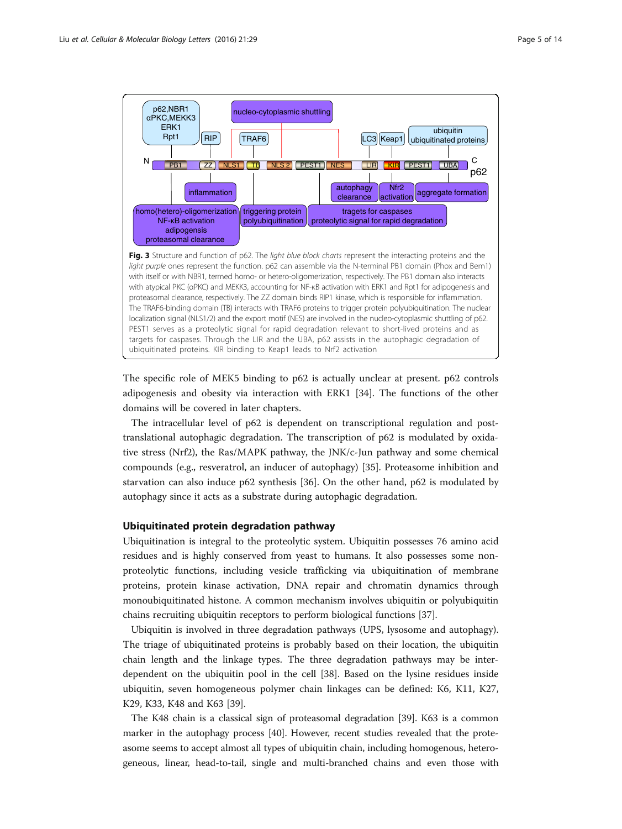<span id="page-4-0"></span>

The specific role of MEK5 binding to p62 is actually unclear at present. p62 controls adipogenesis and obesity via interaction with ERK1 [[34](#page-11-0)]. The functions of the other domains will be covered in later chapters.

The intracellular level of p62 is dependent on transcriptional regulation and posttranslational autophagic degradation. The transcription of p62 is modulated by oxidative stress (Nrf2), the Ras/MAPK pathway, the JNK/c-Jun pathway and some chemical compounds (e.g., resveratrol, an inducer of autophagy) [[35\]](#page-11-0). Proteasome inhibition and starvation can also induce p62 synthesis [[36\]](#page-11-0). On the other hand, p62 is modulated by autophagy since it acts as a substrate during autophagic degradation.

# Ubiquitinated protein degradation pathway

Ubiquitination is integral to the proteolytic system. Ubiquitin possesses 76 amino acid residues and is highly conserved from yeast to humans. It also possesses some nonproteolytic functions, including vesicle trafficking via ubiquitination of membrane proteins, protein kinase activation, DNA repair and chromatin dynamics through monoubiquitinated histone. A common mechanism involves ubiquitin or polyubiquitin chains recruiting ubiquitin receptors to perform biological functions [[37\]](#page-11-0).

Ubiquitin is involved in three degradation pathways (UPS, lysosome and autophagy). The triage of ubiquitinated proteins is probably based on their location, the ubiquitin chain length and the linkage types. The three degradation pathways may be interdependent on the ubiquitin pool in the cell [\[38](#page-11-0)]. Based on the lysine residues inside ubiquitin, seven homogeneous polymer chain linkages can be defined: K6, K11, K27, K29, K33, K48 and K63 [\[39](#page-11-0)].

The K48 chain is a classical sign of proteasomal degradation [[39](#page-11-0)]. K63 is a common marker in the autophagy process [\[40\]](#page-11-0). However, recent studies revealed that the proteasome seems to accept almost all types of ubiquitin chain, including homogenous, heterogeneous, linear, head-to-tail, single and multi-branched chains and even those with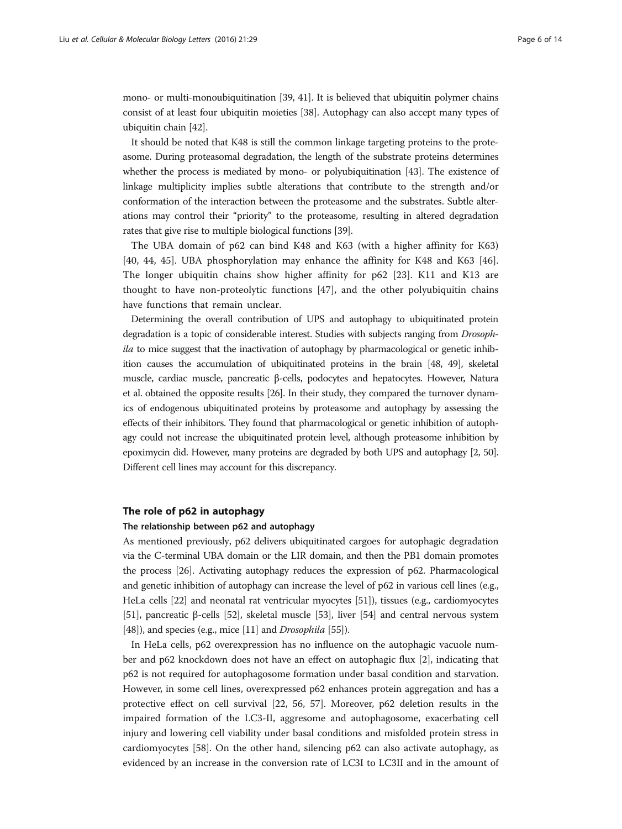mono- or multi-monoubiquitination [[39](#page-11-0), [41](#page-11-0)]. It is believed that ubiquitin polymer chains consist of at least four ubiquitin moieties [[38](#page-11-0)]. Autophagy can also accept many types of ubiquitin chain [\[42\]](#page-11-0).

It should be noted that K48 is still the common linkage targeting proteins to the proteasome. During proteasomal degradation, the length of the substrate proteins determines whether the process is mediated by mono- or polyubiquitination [\[43\]](#page-11-0). The existence of linkage multiplicity implies subtle alterations that contribute to the strength and/or conformation of the interaction between the proteasome and the substrates. Subtle alterations may control their "priority" to the proteasome, resulting in altered degradation rates that give rise to multiple biological functions [\[39\]](#page-11-0).

The UBA domain of p62 can bind K48 and K63 (with a higher affinity for K63) [[40, 44](#page-11-0), [45\]](#page-11-0). UBA phosphorylation may enhance the affinity for K48 and K63 [\[46](#page-11-0)]. The longer ubiquitin chains show higher affinity for p62 [[23\]](#page-10-0). K11 and K13 are thought to have non-proteolytic functions [[47](#page-11-0)], and the other polyubiquitin chains have functions that remain unclear.

Determining the overall contribution of UPS and autophagy to ubiquitinated protein degradation is a topic of considerable interest. Studies with subjects ranging from Drosophila to mice suggest that the inactivation of autophagy by pharmacological or genetic inhibition causes the accumulation of ubiquitinated proteins in the brain [[48, 49\]](#page-11-0), skeletal muscle, cardiac muscle, pancreatic β-cells, podocytes and hepatocytes. However, Natura et al. obtained the opposite results [[26](#page-11-0)]. In their study, they compared the turnover dynamics of endogenous ubiquitinated proteins by proteasome and autophagy by assessing the effects of their inhibitors. They found that pharmacological or genetic inhibition of autophagy could not increase the ubiquitinated protein level, although proteasome inhibition by epoximycin did. However, many proteins are degraded by both UPS and autophagy [\[2](#page-10-0), [50](#page-11-0)]. Different cell lines may account for this discrepancy.

#### The role of p62 in autophagy

#### The relationship between p62 and autophagy

As mentioned previously, p62 delivers ubiquitinated cargoes for autophagic degradation via the C-terminal UBA domain or the LIR domain, and then the PB1 domain promotes the process [\[26](#page-11-0)]. Activating autophagy reduces the expression of p62. Pharmacological and genetic inhibition of autophagy can increase the level of p62 in various cell lines (e.g., HeLa cells [[22](#page-10-0)] and neonatal rat ventricular myocytes [\[51\]](#page-11-0)), tissues (e.g., cardiomyocytes [[51](#page-11-0)], pancreatic β-cells [\[52\]](#page-11-0), skeletal muscle [[53](#page-11-0)], liver [[54](#page-11-0)] and central nervous system [[48](#page-11-0)]), and species (e.g., mice [\[11\]](#page-10-0) and *Drosophila* [\[55\]](#page-11-0)).

In HeLa cells, p62 overexpression has no influence on the autophagic vacuole number and p62 knockdown does not have an effect on autophagic flux [\[2](#page-10-0)], indicating that p62 is not required for autophagosome formation under basal condition and starvation. However, in some cell lines, overexpressed p62 enhances protein aggregation and has a protective effect on cell survival [[22](#page-10-0), [56](#page-11-0), [57\]](#page-11-0). Moreover, p62 deletion results in the impaired formation of the LC3-II, aggresome and autophagosome, exacerbating cell injury and lowering cell viability under basal conditions and misfolded protein stress in cardiomyocytes [[58](#page-12-0)]. On the other hand, silencing p62 can also activate autophagy, as evidenced by an increase in the conversion rate of LC3I to LC3II and in the amount of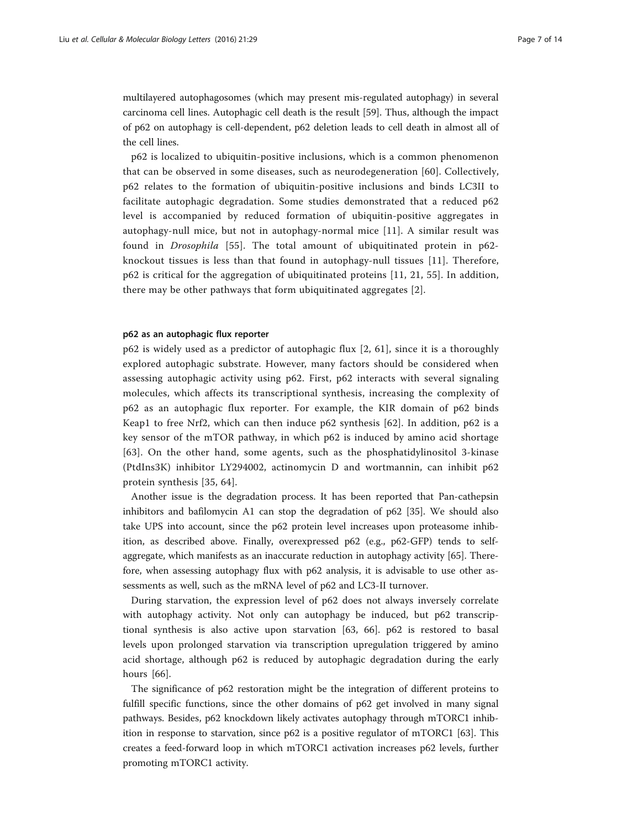multilayered autophagosomes (which may present mis-regulated autophagy) in several carcinoma cell lines. Autophagic cell death is the result [[59](#page-12-0)]. Thus, although the impact of p62 on autophagy is cell-dependent, p62 deletion leads to cell death in almost all of the cell lines.

p62 is localized to ubiquitin-positive inclusions, which is a common phenomenon that can be observed in some diseases, such as neurodegeneration [[60](#page-12-0)]. Collectively, p62 relates to the formation of ubiquitin-positive inclusions and binds LC3II to facilitate autophagic degradation. Some studies demonstrated that a reduced p62 level is accompanied by reduced formation of ubiquitin-positive aggregates in autophagy-null mice, but not in autophagy-normal mice [\[11](#page-10-0)]. A similar result was found in Drosophila [\[55\]](#page-11-0). The total amount of ubiquitinated protein in p62 knockout tissues is less than that found in autophagy-null tissues [\[11\]](#page-10-0). Therefore, p62 is critical for the aggregation of ubiquitinated proteins [[11](#page-10-0), [21](#page-10-0), [55\]](#page-11-0). In addition, there may be other pathways that form ubiquitinated aggregates [[2](#page-10-0)].

# p62 as an autophagic flux reporter

p62 is widely used as a predictor of autophagic flux [[2](#page-10-0), [61](#page-12-0)], since it is a thoroughly explored autophagic substrate. However, many factors should be considered when assessing autophagic activity using p62. First, p62 interacts with several signaling molecules, which affects its transcriptional synthesis, increasing the complexity of p62 as an autophagic flux reporter. For example, the KIR domain of p62 binds Keap1 to free Nrf2, which can then induce p62 synthesis [[62](#page-12-0)]. In addition, p62 is a key sensor of the mTOR pathway, in which p62 is induced by amino acid shortage [[63](#page-12-0)]. On the other hand, some agents, such as the phosphatidylinositol 3-kinase (PtdIns3K) inhibitor LY294002, actinomycin D and wortmannin, can inhibit p62 protein synthesis [[35](#page-11-0), [64\]](#page-12-0).

Another issue is the degradation process. It has been reported that Pan-cathepsin inhibitors and bafilomycin A1 can stop the degradation of p62 [\[35](#page-11-0)]. We should also take UPS into account, since the p62 protein level increases upon proteasome inhibition, as described above. Finally, overexpressed p62 (e.g., p62-GFP) tends to selfaggregate, which manifests as an inaccurate reduction in autophagy activity [[65\]](#page-12-0). Therefore, when assessing autophagy flux with p62 analysis, it is advisable to use other assessments as well, such as the mRNA level of p62 and LC3-II turnover.

During starvation, the expression level of p62 does not always inversely correlate with autophagy activity. Not only can autophagy be induced, but p62 transcriptional synthesis is also active upon starvation [[63, 66\]](#page-12-0). p62 is restored to basal levels upon prolonged starvation via transcription upregulation triggered by amino acid shortage, although p62 is reduced by autophagic degradation during the early hours [\[66](#page-12-0)].

The significance of p62 restoration might be the integration of different proteins to fulfill specific functions, since the other domains of p62 get involved in many signal pathways. Besides, p62 knockdown likely activates autophagy through mTORC1 inhibition in response to starvation, since  $p62$  is a positive regulator of mTORC1 [[63\]](#page-12-0). This creates a feed-forward loop in which mTORC1 activation increases p62 levels, further promoting mTORC1 activity.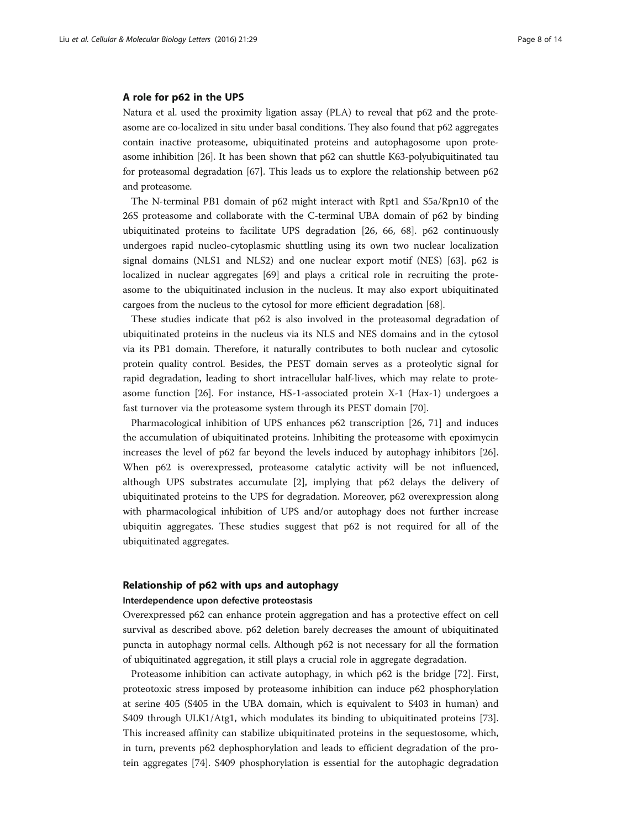#### A role for p62 in the UPS

Natura et al. used the proximity ligation assay (PLA) to reveal that p62 and the proteasome are co-localized in situ under basal conditions. They also found that p62 aggregates contain inactive proteasome, ubiquitinated proteins and autophagosome upon proteasome inhibition [[26](#page-11-0)]. It has been shown that p62 can shuttle K63-polyubiquitinated tau for proteasomal degradation [\[67\]](#page-12-0). This leads us to explore the relationship between p62 and proteasome.

The N-terminal PB1 domain of p62 might interact with Rpt1 and S5a/Rpn10 of the 26S proteasome and collaborate with the C-terminal UBA domain of p62 by binding ubiquitinated proteins to facilitate UPS degradation [\[26](#page-11-0), [66, 68\]](#page-12-0). p62 continuously undergoes rapid nucleo-cytoplasmic shuttling using its own two nuclear localization signal domains (NLS1 and NLS2) and one nuclear export motif (NES) [[63](#page-12-0)]. p62 is localized in nuclear aggregates [[69\]](#page-12-0) and plays a critical role in recruiting the proteasome to the ubiquitinated inclusion in the nucleus. It may also export ubiquitinated cargoes from the nucleus to the cytosol for more efficient degradation [\[68](#page-12-0)].

These studies indicate that p62 is also involved in the proteasomal degradation of ubiquitinated proteins in the nucleus via its NLS and NES domains and in the cytosol via its PB1 domain. Therefore, it naturally contributes to both nuclear and cytosolic protein quality control. Besides, the PEST domain serves as a proteolytic signal for rapid degradation, leading to short intracellular half-lives, which may relate to proteasome function [[26](#page-11-0)]. For instance, HS-1-associated protein X-1 (Hax-1) undergoes a fast turnover via the proteasome system through its PEST domain [[70](#page-12-0)].

Pharmacological inhibition of UPS enhances p62 transcription [[26](#page-11-0), [71](#page-12-0)] and induces the accumulation of ubiquitinated proteins. Inhibiting the proteasome with epoximycin increases the level of p62 far beyond the levels induced by autophagy inhibitors [[26](#page-11-0)]. When p62 is overexpressed, proteasome catalytic activity will be not influenced, although UPS substrates accumulate [\[2\]](#page-10-0), implying that p62 delays the delivery of ubiquitinated proteins to the UPS for degradation. Moreover, p62 overexpression along with pharmacological inhibition of UPS and/or autophagy does not further increase ubiquitin aggregates. These studies suggest that p62 is not required for all of the ubiquitinated aggregates.

## Relationship of p62 with ups and autophagy

#### Interdependence upon defective proteostasis

Overexpressed p62 can enhance protein aggregation and has a protective effect on cell survival as described above. p62 deletion barely decreases the amount of ubiquitinated puncta in autophagy normal cells. Although p62 is not necessary for all the formation of ubiquitinated aggregation, it still plays a crucial role in aggregate degradation.

Proteasome inhibition can activate autophagy, in which p62 is the bridge [\[72](#page-12-0)]. First, proteotoxic stress imposed by proteasome inhibition can induce p62 phosphorylation at serine 405 (S405 in the UBA domain, which is equivalent to S403 in human) and S409 through ULK1/Atg1, which modulates its binding to ubiquitinated proteins [[73](#page-12-0)]. This increased affinity can stabilize ubiquitinated proteins in the sequestosome, which, in turn, prevents p62 dephosphorylation and leads to efficient degradation of the protein aggregates [[74](#page-12-0)]. S409 phosphorylation is essential for the autophagic degradation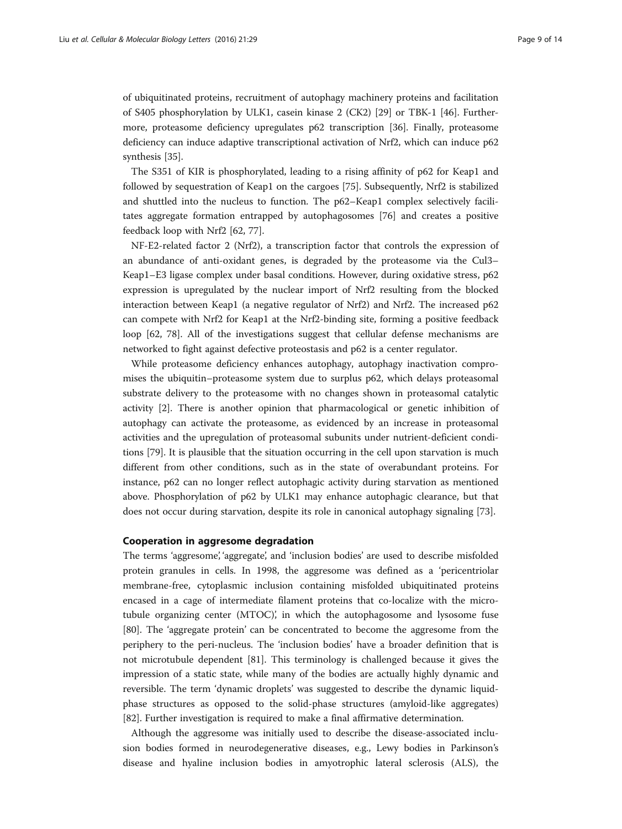of ubiquitinated proteins, recruitment of autophagy machinery proteins and facilitation of S405 phosphorylation by ULK1, casein kinase 2 (CK2) [\[29](#page-11-0)] or TBK-1 [[46\]](#page-11-0). Furthermore, proteasome deficiency upregulates p62 transcription [\[36\]](#page-11-0). Finally, proteasome deficiency can induce adaptive transcriptional activation of Nrf2, which can induce p62 synthesis [\[35](#page-11-0)].

The S351 of KIR is phosphorylated, leading to a rising affinity of p62 for Keap1 and followed by sequestration of Keap1 on the cargoes [[75\]](#page-12-0). Subsequently, Nrf2 is stabilized and shuttled into the nucleus to function. The p62–Keap1 complex selectively facilitates aggregate formation entrapped by autophagosomes [\[76](#page-12-0)] and creates a positive feedback loop with Nrf2 [\[62, 77\]](#page-12-0).

NF-E2-related factor 2 (Nrf2), a transcription factor that controls the expression of an abundance of anti-oxidant genes, is degraded by the proteasome via the Cul3– Keap1–E3 ligase complex under basal conditions. However, during oxidative stress, p62 expression is upregulated by the nuclear import of Nrf2 resulting from the blocked interaction between Keap1 (a negative regulator of Nrf2) and Nrf2. The increased p62 can compete with Nrf2 for Keap1 at the Nrf2-binding site, forming a positive feedback loop [\[62](#page-12-0), [78\]](#page-12-0). All of the investigations suggest that cellular defense mechanisms are networked to fight against defective proteostasis and p62 is a center regulator.

While proteasome deficiency enhances autophagy, autophagy inactivation compromises the ubiquitin–proteasome system due to surplus p62, which delays proteasomal substrate delivery to the proteasome with no changes shown in proteasomal catalytic activity [[2\]](#page-10-0). There is another opinion that pharmacological or genetic inhibition of autophagy can activate the proteasome, as evidenced by an increase in proteasomal activities and the upregulation of proteasomal subunits under nutrient-deficient conditions [[79\]](#page-12-0). It is plausible that the situation occurring in the cell upon starvation is much different from other conditions, such as in the state of overabundant proteins. For instance, p62 can no longer reflect autophagic activity during starvation as mentioned above. Phosphorylation of p62 by ULK1 may enhance autophagic clearance, but that does not occur during starvation, despite its role in canonical autophagy signaling [[73](#page-12-0)].

## Cooperation in aggresome degradation

The terms 'aggresome', 'aggregate', and 'inclusion bodies' are used to describe misfolded protein granules in cells. In 1998, the aggresome was defined as a 'pericentriolar membrane-free, cytoplasmic inclusion containing misfolded ubiquitinated proteins encased in a cage of intermediate filament proteins that co-localize with the microtubule organizing center (MTOC)', in which the autophagosome and lysosome fuse [[80\]](#page-12-0). The 'aggregate protein' can be concentrated to become the aggresome from the periphery to the peri-nucleus. The 'inclusion bodies' have a broader definition that is not microtubule dependent [\[81\]](#page-12-0). This terminology is challenged because it gives the impression of a static state, while many of the bodies are actually highly dynamic and reversible. The term 'dynamic droplets' was suggested to describe the dynamic liquidphase structures as opposed to the solid-phase structures (amyloid-like aggregates) [[82\]](#page-12-0). Further investigation is required to make a final affirmative determination.

Although the aggresome was initially used to describe the disease-associated inclusion bodies formed in neurodegenerative diseases, e.g., Lewy bodies in Parkinson's disease and hyaline inclusion bodies in amyotrophic lateral sclerosis (ALS), the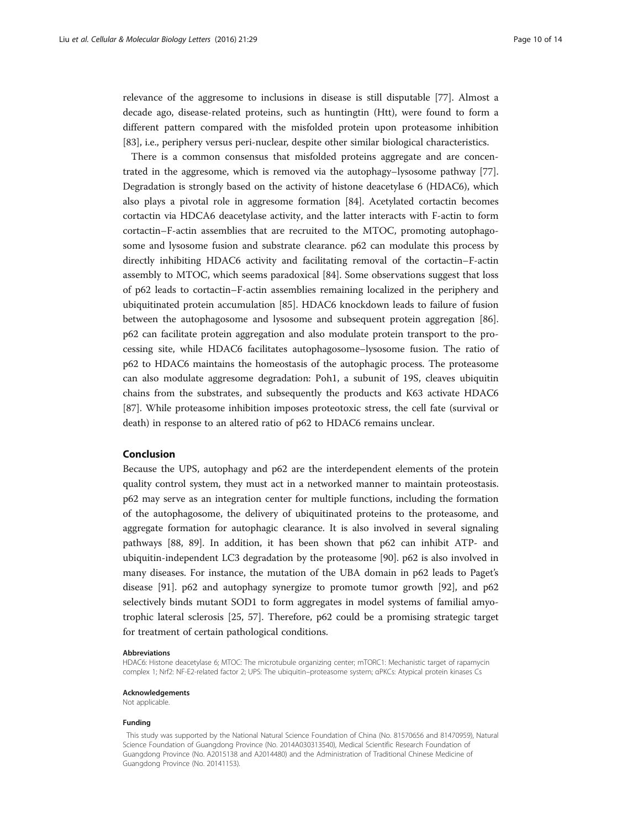relevance of the aggresome to inclusions in disease is still disputable [[77](#page-12-0)]. Almost a decade ago, disease-related proteins, such as huntingtin (Htt), were found to form a different pattern compared with the misfolded protein upon proteasome inhibition [[83\]](#page-12-0), i.e., periphery versus peri-nuclear, despite other similar biological characteristics.

There is a common consensus that misfolded proteins aggregate and are concentrated in the aggresome, which is removed via the autophagy–lysosome pathway [[77](#page-12-0)]. Degradation is strongly based on the activity of histone deacetylase 6 (HDAC6), which also plays a pivotal role in aggresome formation [[84\]](#page-12-0). Acetylated cortactin becomes cortactin via HDCA6 deacetylase activity, and the latter interacts with F-actin to form cortactin–F-actin assemblies that are recruited to the MTOC, promoting autophagosome and lysosome fusion and substrate clearance. p62 can modulate this process by directly inhibiting HDAC6 activity and facilitating removal of the cortactin–F-actin assembly to MTOC, which seems paradoxical [\[84\]](#page-12-0). Some observations suggest that loss of p62 leads to cortactin–F-actin assemblies remaining localized in the periphery and ubiquitinated protein accumulation [\[85](#page-12-0)]. HDAC6 knockdown leads to failure of fusion between the autophagosome and lysosome and subsequent protein aggregation [[86](#page-12-0)]. p62 can facilitate protein aggregation and also modulate protein transport to the processing site, while HDAC6 facilitates autophagosome–lysosome fusion. The ratio of p62 to HDAC6 maintains the homeostasis of the autophagic process. The proteasome can also modulate aggresome degradation: Poh1, a subunit of 19S, cleaves ubiquitin chains from the substrates, and subsequently the products and K63 activate HDAC6 [[87\]](#page-12-0). While proteasome inhibition imposes proteotoxic stress, the cell fate (survival or death) in response to an altered ratio of p62 to HDAC6 remains unclear.

# Conclusion

Because the UPS, autophagy and p62 are the interdependent elements of the protein quality control system, they must act in a networked manner to maintain proteostasis. p62 may serve as an integration center for multiple functions, including the formation of the autophagosome, the delivery of ubiquitinated proteins to the proteasome, and aggregate formation for autophagic clearance. It is also involved in several signaling pathways [[88](#page-12-0), [89\]](#page-13-0). In addition, it has been shown that p62 can inhibit ATP- and ubiquitin-independent LC3 degradation by the proteasome [[90\]](#page-13-0). p62 is also involved in many diseases. For instance, the mutation of the UBA domain in p62 leads to Paget's disease [\[91](#page-13-0)]. p62 and autophagy synergize to promote tumor growth [[92\]](#page-13-0), and p62 selectively binds mutant SOD1 to form aggregates in model systems of familial amyotrophic lateral sclerosis [\[25](#page-10-0), [57](#page-11-0)]. Therefore, p62 could be a promising strategic target for treatment of certain pathological conditions.

#### Abbreviations

HDAC6: Histone deacetylase 6; MTOC: The microtubule organizing center; mTORC1: Mechanistic target of rapamycin complex 1; Nrf2: NF-E2-related factor 2; UPS: The ubiquitin–proteasome system; αPKCs: Atypical protein kinases Cs

Acknowledgements

Not applicable.

#### Funding

This study was supported by the National Natural Science Foundation of China (No. 81570656 and 81470959), Natural Science Foundation of Guangdong Province (No. 2014A030313540), Medical Scientific Research Foundation of Guangdong Province (No. A2015138 and A2014480) and the Administration of Traditional Chinese Medicine of Guangdong Province (No. 20141153).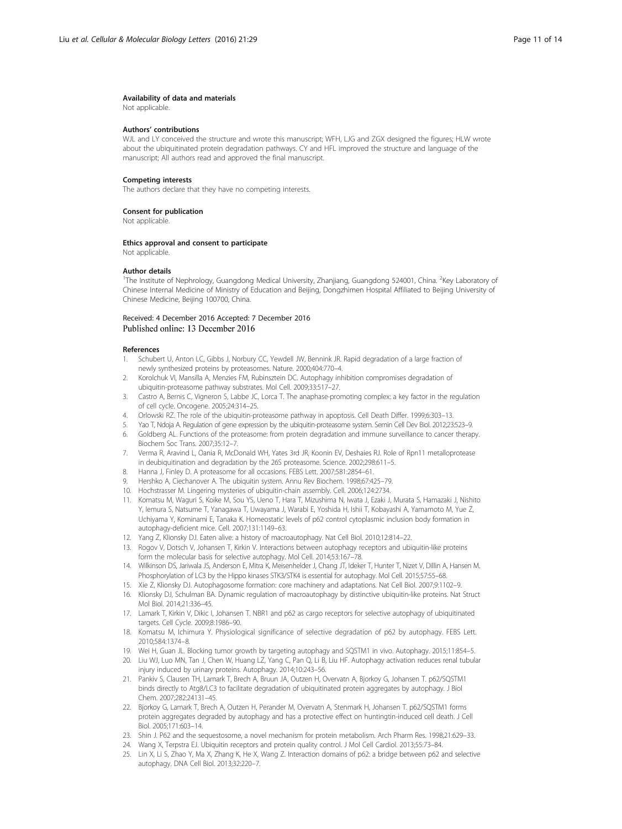#### <span id="page-10-0"></span>Availability of data and materials

Not applicable.

#### Authors' contributions

WJL and LY conceived the structure and wrote this manuscript; WFH, LJG and ZGX designed the figures; HLW wrote about the ubiquitinated protein degradation pathways. CY and HFL improved the structure and language of the manuscript; All authors read and approved the final manuscript.

#### Competing interests

The authors declare that they have no competing interests.

#### Consent for publication

Not applicable.

#### Ethics approval and consent to participate

Not applicable.

#### Author details

<sup>1</sup>The Institute of Nephrology, Guangdong Medical University, Zhanjiang, Guangdong 524001, China. <sup>2</sup>Key Laboratory of Chinese Internal Medicine of Ministry of Education and Beijing, Dongzhimen Hospital Affiliated to Beijing University of Chinese Medicine, Beijing 100700, China.

#### Received: 4 December 2016 Accepted: 7 December 2016 Published online: 13 December 2016

#### References

- 1. Schubert U, Anton LC, Gibbs J, Norbury CC, Yewdell JW, Bennink JR. Rapid degradation of a large fraction of newly synthesized proteins by proteasomes. Nature. 2000;404:770–4.
- 2. Korolchuk VI, Mansilla A, Menzies FM, Rubinsztein DC. Autophagy inhibition compromises degradation of ubiquitin-proteasome pathway substrates. Mol Cell. 2009;33:517–27.
- 3. Castro A, Bernis C, Vigneron S, Labbe JC, Lorca T. The anaphase-promoting complex: a key factor in the regulation of cell cycle. Oncogene. 2005;24:314–25.
- 4. Orlowski RZ. The role of the ubiquitin-proteasome pathway in apoptosis. Cell Death Differ. 1999;6:303–13.
- 5. Yao T, Ndoja A. Regulation of gene expression by the ubiquitin-proteasome system. Semin Cell Dev Biol. 2012;23:523–9. 6. Goldberg AL. Functions of the proteasome: from protein degradation and immune surveillance to cancer therapy.
- Biochem Soc Trans. 2007;35:12–7. 7. Verma R, Aravind L, Oania R, McDonald WH, Yates 3rd JR, Koonin EV, Deshaies RJ. Role of Rpn11 metalloprotease in deubiquitination and degradation by the 26S proteasome. Science. 2002;298:611–5.
- 8. Hanna J, Finley D. A proteasome for all occasions. FEBS Lett. 2007;581:2854–61.
- 9. Hershko A, Ciechanover A. The ubiquitin system. Annu Rev Biochem. 1998;67:425–79.
- 10. Hochstrasser M. Lingering mysteries of ubiquitin-chain assembly. Cell. 2006;124:2734.
- 11. Komatsu M, Waguri S, Koike M, Sou YS, Ueno T, Hara T, Mizushima N, Iwata J, Ezaki J, Murata S, Hamazaki J, Nishito Y, Iemura S, Natsume T, Yanagawa T, Uwayama J, Warabi E, Yoshida H, Ishii T, Kobayashi A, Yamamoto M, Yue Z, Uchiyama Y, Kominami E, Tanaka K. Homeostatic levels of p62 control cytoplasmic inclusion body formation in autophagy-deficient mice. Cell. 2007;131:1149–63.
- 12. Yang Z, Klionsky DJ. Eaten alive: a history of macroautophagy. Nat Cell Biol. 2010;12:814–22.
- 13. Rogov V, Dotsch V, Johansen T, Kirkin V. Interactions between autophagy receptors and ubiquitin-like proteins form the molecular basis for selective autophagy. Mol Cell. 2014;53:167–78.
- 14. Wilkinson DS, Jariwala JS, Anderson E, Mitra K, Meisenhelder J, Chang JT, Ideker T, Hunter T, Nizet V, Dillin A, Hansen M. Phosphorylation of LC3 by the Hippo kinases STK3/STK4 is essential for autophagy. Mol Cell. 2015;57:55–68.
- 15. Xie Z, Klionsky DJ. Autophagosome formation: core machinery and adaptations. Nat Cell Biol. 2007;9:1102–9.
- 16. Klionsky DJ, Schulman BA. Dynamic regulation of macroautophagy by distinctive ubiquitin-like proteins. Nat Struct Mol Biol. 2014;21:336–45.
- 17. Lamark T, Kirkin V, Dikic I, Johansen T. NBR1 and p62 as cargo receptors for selective autophagy of ubiquitinated targets. Cell Cycle. 2009;8:1986–90.
- 18. Komatsu M, Ichimura Y. Physiological significance of selective degradation of p62 by autophagy. FEBS Lett. 2010;584:1374–8.
- 19. Wei H, Guan JL. Blocking tumor growth by targeting autophagy and SQSTM1 in vivo. Autophagy. 2015;11:854–5.
- 20. Liu WJ, Luo MN, Tan J, Chen W, Huang LZ, Yang C, Pan Q, Li B, Liu HF. Autophagy activation reduces renal tubular injury induced by urinary proteins. Autophagy. 2014;10:243–56.
- 21. Pankiv S, Clausen TH, Lamark T, Brech A, Bruun JA, Outzen H, Overvatn A, Bjorkoy G, Johansen T. p62/SQSTM1 binds directly to Atg8/LC3 to facilitate degradation of ubiquitinated protein aggregates by autophagy. J Biol Chem. 2007;282:24131–45.
- 22. Bjorkoy G, Lamark T, Brech A, Outzen H, Perander M, Overvatn A, Stenmark H, Johansen T. p62/SQSTM1 forms protein aggregates degraded by autophagy and has a protective effect on huntingtin-induced cell death. J Cell Biol. 2005;171:603–14.
- 23. Shin J. P62 and the sequestosome, a novel mechanism for protein metabolism. Arch Pharm Res. 1998;21:629–33.
- 24. Wang X, Terpstra EJ. Ubiquitin receptors and protein quality control. J Mol Cell Cardiol. 2013;55:73–84.
- 25. Lin X, Li S, Zhao Y, Ma X, Zhang K, He X, Wang Z. Interaction domains of p62: a bridge between p62 and selective autophagy. DNA Cell Biol. 2013;32:220–7.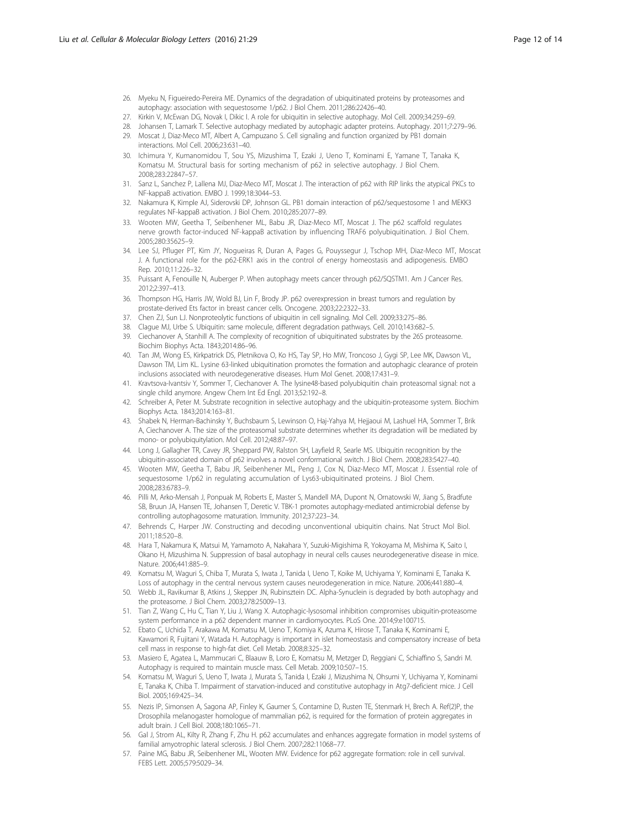- <span id="page-11-0"></span>26. Myeku N, Figueiredo-Pereira ME. Dynamics of the degradation of ubiquitinated proteins by proteasomes and autophagy: association with sequestosome 1/p62. J Biol Chem. 2011;286:22426–40.
- 27. Kirkin V, McEwan DG, Novak I, Dikic I. A role for ubiquitin in selective autophagy. Mol Cell. 2009;34:259–69.
- 28. Johansen T, Lamark T. Selective autophagy mediated by autophagic adapter proteins. Autophagy. 2011;7:279–96.
- 29. Moscat J, Diaz-Meco MT, Albert A, Campuzano S. Cell signaling and function organized by PB1 domain interactions. Mol Cell. 2006;23:631–40.
- 30. Ichimura Y, Kumanomidou T, Sou YS, Mizushima T, Ezaki J, Ueno T, Kominami E, Yamane T, Tanaka K, Komatsu M. Structural basis for sorting mechanism of p62 in selective autophagy. J Biol Chem. 2008;283:22847–57.
- 31. Sanz L, Sanchez P, Lallena MJ, Diaz-Meco MT, Moscat J. The interaction of p62 with RIP links the atypical PKCs to NF-kappaB activation. EMBO J. 1999;18:3044–53.
- 32. Nakamura K, Kimple AJ, Siderovski DP, Johnson GL. PB1 domain interaction of p62/sequestosome 1 and MEKK3 regulates NF-kappaB activation. J Biol Chem. 2010;285:2077–89.
- 33. Wooten MW, Geetha T, Seibenhener ML, Babu JR, Diaz-Meco MT, Moscat J. The p62 scaffold regulates nerve growth factor-induced NF-kappaB activation by influencing TRAF6 polyubiquitination. J Biol Chem. 2005;280:35625–9.
- 34. Lee SJ, Pfluger PT, Kim JY, Nogueiras R, Duran A, Pages G, Pouyssegur J, Tschop MH, Diaz-Meco MT, Moscat J. A functional role for the p62-ERK1 axis in the control of energy homeostasis and adipogenesis. EMBO Rep. 2010;11:226–32.
- 35. Puissant A, Fenouille N, Auberger P. When autophagy meets cancer through p62/SQSTM1. Am J Cancer Res. 2012;2:397–413.
- 36. Thompson HG, Harris JW, Wold BJ, Lin F, Brody JP. p62 overexpression in breast tumors and regulation by prostate-derived Ets factor in breast cancer cells. Oncogene. 2003;22:2322–33.
- 37. Chen ZJ, Sun LJ. Nonproteolytic functions of ubiquitin in cell signaling. Mol Cell. 2009;33:275–86.
- 38. Clague MJ, Urbe S. Ubiquitin: same molecule, different degradation pathways. Cell. 2010;143:682–5.
- 39. Ciechanover A, Stanhill A. The complexity of recognition of ubiquitinated substrates by the 26S proteasome. Biochim Biophys Acta. 1843;2014:86–96.
- 40. Tan JM, Wong ES, Kirkpatrick DS, Pletnikova O, Ko HS, Tay SP, Ho MW, Troncoso J, Gygi SP, Lee MK, Dawson VL, Dawson TM, Lim KL. Lysine 63-linked ubiquitination promotes the formation and autophagic clearance of protein inclusions associated with neurodegenerative diseases. Hum Mol Genet. 2008;17:431–9.
- 41. Kravtsova-Ivantsiv Y, Sommer T, Ciechanover A. The lysine48-based polyubiquitin chain proteasomal signal: not a single child anymore. Angew Chem Int Ed Engl. 2013;52:192–8.
- 42. Schreiber A, Peter M. Substrate recognition in selective autophagy and the ubiquitin-proteasome system. Biochim Biophys Acta. 1843;2014:163–81.
- 43. Shabek N, Herman-Bachinsky Y, Buchsbaum S, Lewinson O, Haj-Yahya M, Hejjaoui M, Lashuel HA, Sommer T, Brik A, Ciechanover A. The size of the proteasomal substrate determines whether its degradation will be mediated by mono- or polyubiquitylation. Mol Cell. 2012;48:87–97.
- 44. Long J, Gallagher TR, Cavey JR, Sheppard PW, Ralston SH, Layfield R, Searle MS. Ubiquitin recognition by the ubiquitin-associated domain of p62 involves a novel conformational switch. J Biol Chem. 2008;283:5427–40.
- 45. Wooten MW, Geetha T, Babu JR, Seibenhener ML, Peng J, Cox N, Diaz-Meco MT, Moscat J. Essential role of sequestosome 1/p62 in regulating accumulation of Lys63-ubiquitinated proteins. J Biol Chem. 2008;283:6783–9.
- 46. Pilli M, Arko-Mensah J, Ponpuak M, Roberts E, Master S, Mandell MA, Dupont N, Ornatowski W, Jiang S, Bradfute SB, Bruun JA, Hansen TE, Johansen T, Deretic V. TBK-1 promotes autophagy-mediated antimicrobial defense by controlling autophagosome maturation. Immunity. 2012;37:223–34.
- 47. Behrends C, Harper JW. Constructing and decoding unconventional ubiquitin chains. Nat Struct Mol Biol. 2011;18:520–8.
- 48. Hara T, Nakamura K, Matsui M, Yamamoto A, Nakahara Y, Suzuki-Migishima R, Yokoyama M, Mishima K, Saito I, Okano H, Mizushima N. Suppression of basal autophagy in neural cells causes neurodegenerative disease in mice. Nature. 2006;441:885–9.
- 49. Komatsu M, Waguri S, Chiba T, Murata S, Iwata J, Tanida I, Ueno T, Koike M, Uchiyama Y, Kominami E, Tanaka K. Loss of autophagy in the central nervous system causes neurodegeneration in mice. Nature. 2006;441:880–4.
- 50. Webb JL, Ravikumar B, Atkins J, Skepper JN, Rubinsztein DC. Alpha-Synuclein is degraded by both autophagy and the proteasome. J Biol Chem. 2003;278:25009–13.
- 51. Tian Z, Wang C, Hu C, Tian Y, Liu J, Wang X. Autophagic-lysosomal inhibition compromises ubiquitin-proteasome system performance in a p62 dependent manner in cardiomyocytes. PLoS One. 2014;9:e100715.
- 52. Ebato C, Uchida T, Arakawa M, Komatsu M, Ueno T, Komiya K, Azuma K, Hirose T, Tanaka K, Kominami E, Kawamori R, Fujitani Y, Watada H. Autophagy is important in islet homeostasis and compensatory increase of beta cell mass in response to high-fat diet. Cell Metab. 2008;8:325–32.
- 53. Masiero E, Agatea L, Mammucari C, Blaauw B, Loro E, Komatsu M, Metzger D, Reggiani C, Schiaffino S, Sandri M. Autophagy is required to maintain muscle mass. Cell Metab. 2009;10:507–15.
- 54. Komatsu M, Waguri S, Ueno T, Iwata J, Murata S, Tanida I, Ezaki J, Mizushima N, Ohsumi Y, Uchiyama Y, Kominami E, Tanaka K, Chiba T. Impairment of starvation-induced and constitutive autophagy in Atg7-deficient mice. J Cell Biol. 2005;169:425–34.
- 55. Nezis IP, Simonsen A, Sagona AP, Finley K, Gaumer S, Contamine D, Rusten TE, Stenmark H, Brech A. Ref(2)P, the Drosophila melanogaster homologue of mammalian p62, is required for the formation of protein aggregates in adult brain. J Cell Biol. 2008;180:1065–71.
- 56. Gal J, Strom AL, Kilty R, Zhang F, Zhu H. p62 accumulates and enhances aggregate formation in model systems of familial amyotrophic lateral sclerosis. J Biol Chem. 2007;282:11068–77.
- 57. Paine MG, Babu JR, Seibenhener ML, Wooten MW. Evidence for p62 aggregate formation: role in cell survival. FEBS Lett. 2005;579:5029–34.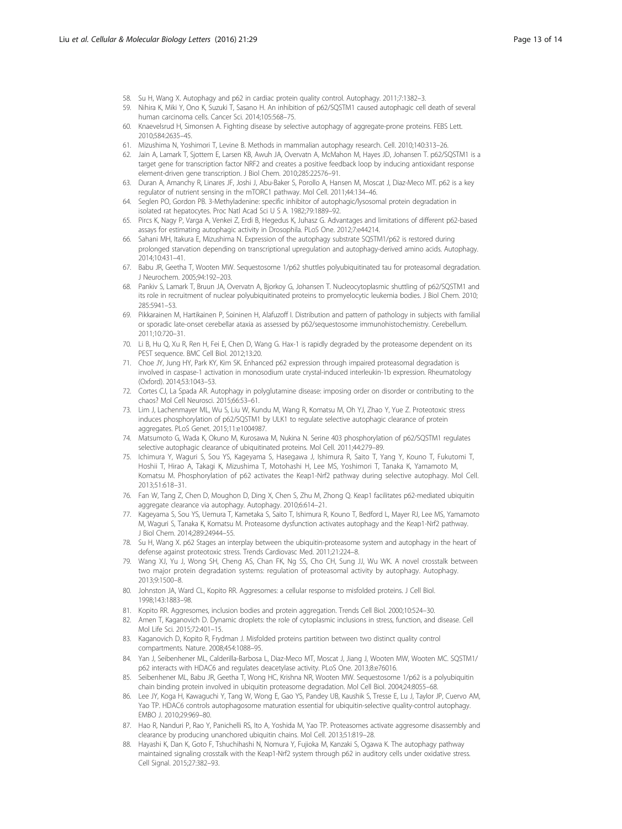- <span id="page-12-0"></span>58. Su H, Wang X. Autophagy and p62 in cardiac protein quality control. Autophagy. 2011;7:1382–3.
- 59. Nihira K, Miki Y, Ono K, Suzuki T, Sasano H. An inhibition of p62/SQSTM1 caused autophagic cell death of several human carcinoma cells. Cancer Sci. 2014;105:568–75.
- 60. Knaevelsrud H, Simonsen A. Fighting disease by selective autophagy of aggregate-prone proteins. FEBS Lett. 2010;584:2635–45.
- 61. Mizushima N, Yoshimori T, Levine B. Methods in mammalian autophagy research. Cell. 2010;140:313–26.
- 62. Jain A, Lamark T, Sjottem E, Larsen KB, Awuh JA, Overvatn A, McMahon M, Hayes JD, Johansen T. p62/SQSTM1 is a target gene for transcription factor NRF2 and creates a positive feedback loop by inducing antioxidant response element-driven gene transcription. J Biol Chem. 2010;285:22576–91.
- 63. Duran A, Amanchy R, Linares JF, Joshi J, Abu-Baker S, Porollo A, Hansen M, Moscat J, Diaz-Meco MT. p62 is a key regulator of nutrient sensing in the mTORC1 pathway. Mol Cell. 2011;44:134–46.
- 64. Seglen PO, Gordon PB. 3-Methyladenine: specific inhibitor of autophagic/lysosomal protein degradation in isolated rat hepatocytes. Proc Natl Acad Sci U S A. 1982;79:1889–92.
- 65. Pircs K, Nagy P, Varga A, Venkei Z, Erdi B, Hegedus K, Juhasz G. Advantages and limitations of different p62-based assays for estimating autophagic activity in Drosophila. PLoS One. 2012;7:e44214.
- 66. Sahani MH, Itakura E, Mizushima N. Expression of the autophagy substrate SQSTM1/p62 is restored during prolonged starvation depending on transcriptional upregulation and autophagy-derived amino acids. Autophagy. 2014;10:431–41.
- 67. Babu JR, Geetha T, Wooten MW. Sequestosome 1/p62 shuttles polyubiquitinated tau for proteasomal degradation. J Neurochem. 2005;94:192–203.
- 68. Pankiv S, Lamark T, Bruun JA, Overvatn A, Bjorkoy G, Johansen T. Nucleocytoplasmic shuttling of p62/SQSTM1 and its role in recruitment of nuclear polyubiquitinated proteins to promyelocytic leukemia bodies. J Biol Chem. 2010; 285:5941–53.
- 69. Pikkarainen M, Hartikainen P, Soininen H, Alafuzoff I. Distribution and pattern of pathology in subjects with familial or sporadic late-onset cerebellar ataxia as assessed by p62/sequestosome immunohistochemistry. Cerebellum. 2011;10:720–31.
- 70. Li B, Hu Q, Xu R, Ren H, Fei E, Chen D, Wang G. Hax-1 is rapidly degraded by the proteasome dependent on its PEST sequence. BMC Cell Biol. 2012;13:20.
- 71. Choe JY, Jung HY, Park KY, Kim SK. Enhanced p62 expression through impaired proteasomal degradation is involved in caspase-1 activation in monosodium urate crystal-induced interleukin-1b expression. Rheumatology (Oxford). 2014;53:1043–53.
- 72. Cortes CJ, La Spada AR. Autophagy in polyglutamine disease: imposing order on disorder or contributing to the chaos? Mol Cell Neurosci. 2015;66:53–61.
- 73. Lim J, Lachenmayer ML, Wu S, Liu W, Kundu M, Wang R, Komatsu M, Oh YJ, Zhao Y, Yue Z. Proteotoxic stress induces phosphorylation of p62/SQSTM1 by ULK1 to regulate selective autophagic clearance of protein aggregates. PLoS Genet. 2015;11:e1004987.
- 74. Matsumoto G, Wada K, Okuno M, Kurosawa M, Nukina N. Serine 403 phosphorylation of p62/SQSTM1 regulates selective autophagic clearance of ubiquitinated proteins. Mol Cell. 2011;44:279–89.
- 75. Ichimura Y, Waguri S, Sou YS, Kageyama S, Hasegawa J, Ishimura R, Saito T, Yang Y, Kouno T, Fukutomi T, Hoshii T, Hirao A, Takagi K, Mizushima T, Motohashi H, Lee MS, Yoshimori T, Tanaka K, Yamamoto M, Komatsu M. Phosphorylation of p62 activates the Keap1-Nrf2 pathway during selective autophagy. Mol Cell. 2013;51:618–31.
- 76. Fan W, Tang Z, Chen D, Moughon D, Ding X, Chen S, Zhu M, Zhong Q. Keap1 facilitates p62-mediated ubiquitin aggregate clearance via autophagy. Autophagy. 2010;6:614–21.
- 77. Kageyama S, Sou YS, Uemura T, Kametaka S, Saito T, Ishimura R, Kouno T, Bedford L, Mayer RJ, Lee MS, Yamamoto M, Waguri S, Tanaka K, Komatsu M. Proteasome dysfunction activates autophagy and the Keap1-Nrf2 pathway. J Biol Chem. 2014;289:24944–55.
- 78. Su H, Wang X. p62 Stages an interplay between the ubiquitin-proteasome system and autophagy in the heart of defense against proteotoxic stress. Trends Cardiovasc Med. 2011;21:224–8.
- 79. Wang XJ, Yu J, Wong SH, Cheng AS, Chan FK, Ng SS, Cho CH, Sung JJ, Wu WK. A novel crosstalk between two major protein degradation systems: regulation of proteasomal activity by autophagy. Autophagy. 2013;9:1500–8.
- 80. Johnston JA, Ward CL, Kopito RR. Aggresomes: a cellular response to misfolded proteins. J Cell Biol. 1998;143:1883–98.
- 81. Kopito RR. Aggresomes, inclusion bodies and protein aggregation. Trends Cell Biol. 2000;10:524–30.
- 82. Amen T, Kaganovich D. Dynamic droplets: the role of cytoplasmic inclusions in stress, function, and disease. Cell Mol Life Sci. 2015;72:401–15.
- 83. Kaganovich D, Kopito R, Frydman J. Misfolded proteins partition between two distinct quality control compartments. Nature. 2008;454:1088–95.
- 84. Yan J, Seibenhener ML, Calderilla-Barbosa L, Diaz-Meco MT, Moscat J, Jiang J, Wooten MW, Wooten MC. SQSTM1/ p62 interacts with HDAC6 and regulates deacetylase activity. PLoS One. 2013;8:e76016.
- 85. Seibenhener ML, Babu JR, Geetha T, Wong HC, Krishna NR, Wooten MW. Sequestosome 1/p62 is a polyubiquitin chain binding protein involved in ubiquitin proteasome degradation. Mol Cell Biol. 2004;24:8055–68.
- 86. Lee JY, Koga H, Kawaguchi Y, Tang W, Wong E, Gao YS, Pandey UB, Kaushik S, Tresse E, Lu J, Taylor JP, Cuervo AM, Yao TP. HDAC6 controls autophagosome maturation essential for ubiquitin-selective quality-control autophagy. EMBO J. 2010;29:969–80.
- 87. Hao R, Nanduri P, Rao Y, Panichelli RS, Ito A, Yoshida M, Yao TP. Proteasomes activate aggresome disassembly and clearance by producing unanchored ubiquitin chains. Mol Cell. 2013;51:819–28.
- 88. Hayashi K, Dan K, Goto F, Tshuchihashi N, Nomura Y, Fujioka M, Kanzaki S, Ogawa K. The autophagy pathway maintained signaling crosstalk with the Keap1-Nrf2 system through p62 in auditory cells under oxidative stress. Cell Signal. 2015;27:382–93.